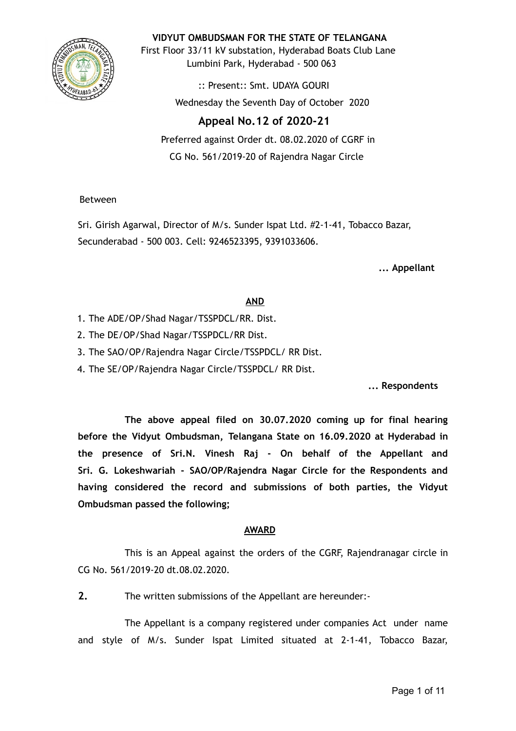

**VIDYUT OMBUDSMAN FOR THE STATE OF TELANGANA**

First Floor 33/11 kV substation, Hyderabad Boats Club Lane Lumbini Park, Hyderabad - 500 063

> :: Present:: Smt. UDAYA GOURI Wednesday the Seventh Day of October 2020

# **Appeal No.12 of 2020-21**

Preferred against Order dt. 08.02.2020 of CGRF in CG No. 561/2019-20 of Rajendra Nagar Circle

Between

Sri. Girish Agarwal, Director of M/s. Sunder Ispat Ltd. #2-1-41, Tobacco Bazar, Secunderabad - 500 003. Cell: 9246523395, 9391033606.

**... Appellant**

# **AND**

- 1. The ADE/OP/Shad Nagar/TSSPDCL/RR. Dist.
- 2. The DE/OP/Shad Nagar/TSSPDCL/RR Dist.
- 3. The SAO/OP/Rajendra Nagar Circle/TSSPDCL/ RR Dist.

4. The SE/OP/Rajendra Nagar Circle/TSSPDCL/ RR Dist.

**... Respondents**

**The above appeal filed on 30.07.2020 coming up for final hearing before the Vidyut Ombudsman, Telangana State on 16.09.2020 at Hyderabad in the presence of Sri.N. Vinesh Raj - On behalf of the Appellant and Sri. G. Lokeshwariah - SAO/OP/Rajendra Nagar Circle for the Respondents and having considered the record and submissions of both parties, the Vidyut Ombudsman passed the following;**

# **AWARD**

This is an Appeal against the orders of the CGRF, Rajendranagar circle in CG No. 561/2019-20 dt.08.02.2020.

**2.** The written submissions of the Appellant are hereunder:-

The Appellant is a company registered under companies Act under name and style of M/s. Sunder Ispat Limited situated at 2-1-41, Tobacco Bazar,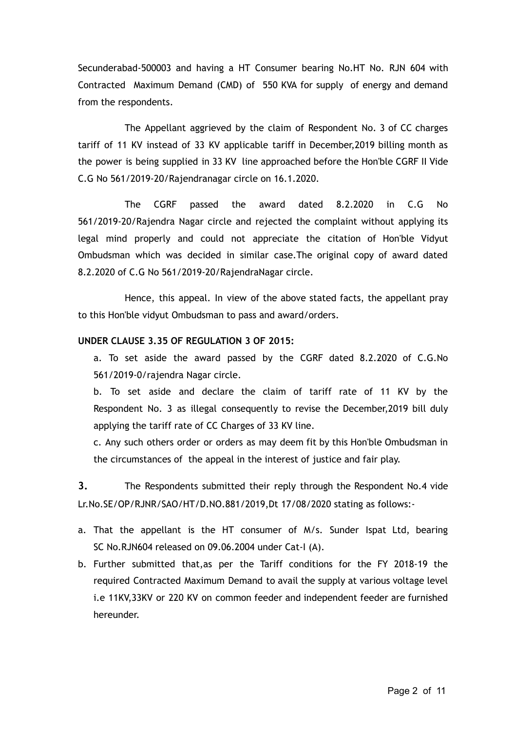Secunderabad-500003 and having a HT Consumer bearing No.HT No. RJN 604 with Contracted Maximum Demand (CMD) of 550 KVA for supply of energy and demand from the respondents.

The Appellant aggrieved by the claim of Respondent No. 3 of CC charges tariff of 11 KV instead of 33 KV applicable tariff in December,2019 billing month as the power is being supplied in 33 KV line approached before the Hon'ble CGRF II Vide C.G No 561/2019-20/Rajendranagar circle on 16.1.2020.

The CGRF passed the award dated 8.2.2020 in C.G No 561/2019-20/Rajendra Nagar circle and rejected the complaint without applying its legal mind properly and could not appreciate the citation of Hon'ble Vidyut Ombudsman which was decided in similar case.The original copy of award dated 8.2.2020 of C.G No 561/2019-20/RajendraNagar circle.

Hence, this appeal. In view of the above stated facts, the appellant pray to this Hon'ble vidyut Ombudsman to pass and award/orders.

#### **UNDER CLAUSE 3.35 OF REGULATION 3 OF 2015:**

a. To set aside the award passed by the CGRF dated 8.2.2020 of C.G.No 561/2019-0/rajendra Nagar circle.

b. To set aside and declare the claim of tariff rate of 11 KV by the Respondent No. 3 as illegal consequently to revise the December,2019 bill duly applying the tariff rate of CC Charges of 33 KV line.

c. Any such others order or orders as may deem fit by this Hon'ble Ombudsman in the circumstances of the appeal in the interest of justice and fair play.

**3.** The Respondents submitted their reply through the Respondent No.4 vide Lr.No.SE/OP/RJNR/SAO/HT/D.NO.881/2019,Dt 17/08/2020 stating as follows:-

- a. That the appellant is the HT consumer of M/s. Sunder Ispat Ltd, bearing SC No.RJN604 released on 09.06.2004 under Cat-I (A).
- b. Further submitted that,as per the Tariff conditions for the FY 2018-19 the required Contracted Maximum Demand to avail the supply at various voltage level i.e 11KV,33KV or 220 KV on common feeder and independent feeder are furnished hereunder.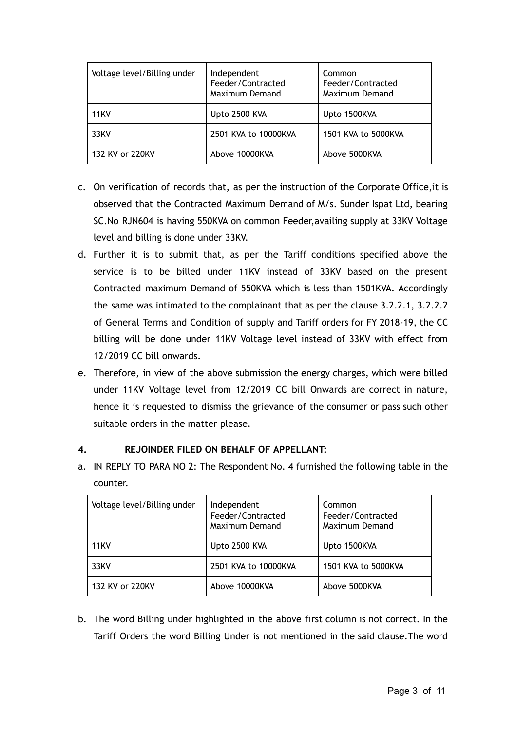| Voltage level/Billing under | Independent<br>Feeder/Contracted<br>Maximum Demand | Common<br>Feeder/Contracted<br>Maximum Demand |
|-----------------------------|----------------------------------------------------|-----------------------------------------------|
| <b>11KV</b>                 | Upto 2500 KVA                                      | Upto 1500KVA                                  |
| 33KV                        | 2501 KVA to 10000KVA                               | 1501 KVA to 5000KVA                           |
| 132 KV or 220KV             | Above 10000KVA                                     | Above 5000KVA                                 |

- c. On verification of records that, as per the instruction of the Corporate Office,it is observed that the Contracted Maximum Demand of M/s. Sunder Ispat Ltd, bearing SC.No RJN604 is having 550KVA on common Feeder,availing supply at 33KV Voltage level and billing is done under 33KV.
- d. Further it is to submit that, as per the Tariff conditions specified above the service is to be billed under 11KV instead of 33KV based on the present Contracted maximum Demand of 550KVA which is less than 1501KVA. Accordingly the same was intimated to the complainant that as per the clause 3.2.2.1, 3.2.2.2 of General Terms and Condition of supply and Tariff orders for FY 2018-19, the CC billing will be done under 11KV Voltage level instead of 33KV with effect from 12/2019 CC bill onwards.
- e. Therefore, in view of the above submission the energy charges, which were billed under 11KV Voltage level from 12/2019 CC bill Onwards are correct in nature, hence it is requested to dismiss the grievance of the consumer or pass such other suitable orders in the matter please.

# **4. REJOINDER FILED ON BEHALF OF APPELLANT:**

a. IN REPLY TO PARA NO 2: The Respondent No. 4 furnished the following table in the counter.

| Voltage level/Billing under | Independent<br>Feeder/Contracted<br>Maximum Demand | Common<br>Feeder/Contracted<br>Maximum Demand |
|-----------------------------|----------------------------------------------------|-----------------------------------------------|
| <b>11KV</b>                 | Upto 2500 KVA                                      | Upto 1500KVA                                  |
| 33KV                        | 2501 KVA to 10000KVA                               | 1501 KVA to 5000KVA                           |
| 132 KV or 220KV             | Above 10000KVA                                     | Above 5000KVA                                 |

b. The word Billing under highlighted in the above first column is not correct. In the Tariff Orders the word Billing Under is not mentioned in the said clause.The word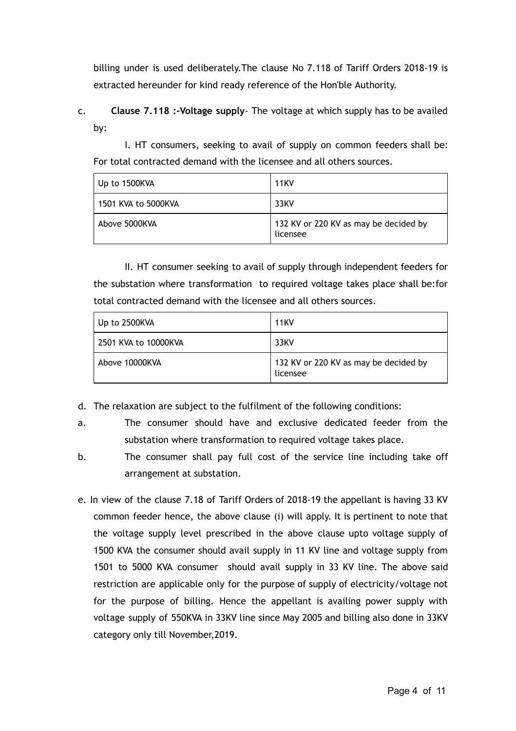billing under is used deliberately.The clause No 7.118 of Tariff Orders 2018-19 is extracted hereunder for kind ready reference of the Hon'ble Authority.

c. **Clause 7.118 :-Voltage supply**- The voltage at which supply has to be availed by:

I. HT consumers, seeking to avail of supply on common feeders shall be: For total contracted demand with the licensee and all others sources.

| Up to 1500KVA       | <b>11KV</b>                                       |
|---------------------|---------------------------------------------------|
| 1501 KVA to 5000KVA | 33KV                                              |
| Above 5000KVA       | 132 KV or 220 KV as may be decided by<br>licensee |

II. HT consumer seeking to avail of supply through independent feeders for the substation where transformation to required voltage takes place shall be:for total contracted demand with the licensee and all others sources.

| $\vert$ Up to 2500KVA | <b>11KV</b>                                       |
|-----------------------|---------------------------------------------------|
| 2501 KVA to 10000KVA  | 33KV                                              |
| Above 10000KVA        | 132 KV or 220 KV as may be decided by<br>licensee |

d. The relaxation are subject to the fulfilment of the following conditions:

- a. The consumer should have and exclusive dedicated feeder from the substation where transformation to required voltage takes place.
- b. The consumer shall pay full cost of the service line including take off arrangement at substation.
- e. In view of the clause 7.18 of Tariff Orders of 2018-19 the appellant is having 33 KV common feeder hence, the above clause (i) will apply. It is pertinent to note that the voltage supply level prescribed in the above clause upto voltage supply of 1500 KVA the consumer should avail supply in 11 KV line and voltage supply from 1501 to 5000 KVA consumer should avail supply in 33 KV line. The above said restriction are applicable only for the purpose of supply of electricity/voltage not for the purpose of billing. Hence the appellant is availing power supply with voltage supply of 550KVA in 33KV line since May 2005 and billing also done in 33KV category only till November,2019.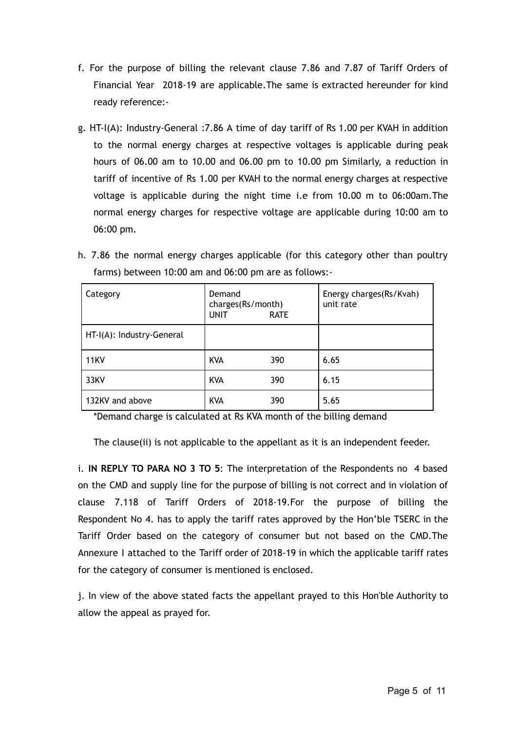- f. For the purpose of billing the relevant clause 7.86 and 7.87 of Tariff Orders of Financial Year 2018-19 are applicable.The same is extracted hereunder for kind ready reference:-
- g. HT-I(A): Industry-General :7.86 A time of day tariff of Rs 1.00 per KVAH in addition to the normal energy charges at respective voltages is applicable during peak hours of 06.00 am to 10.00 and 06.00 pm to 10.00 pm Similarly, a reduction in tariff of incentive of Rs 1.00 per KVAH to the normal energy charges at respective voltage is applicable during the night time i.e from 10.00 m to 06:00am.The normal energy charges for respective voltage are applicable during 10:00 am to 06:00 pm.
- h. 7.86 the normal energy charges applicable (for this category other than poultry farms) between 10:00 am and 06:00 pm are as follows:-

| Category                  | Demand<br>charges(Rs/month)<br><b>UNIT</b> | <b>RATE</b> | Energy charges(Rs/Kvah)<br>unit rate |
|---------------------------|--------------------------------------------|-------------|--------------------------------------|
| HT-I(A): Industry-General |                                            |             |                                      |
| <b>11KV</b>               | <b>KVA</b>                                 | 390         | 6.65                                 |
| 33KV                      | <b>KVA</b>                                 | 390         | 6.15                                 |
| 132KV and above           | <b>KVA</b>                                 | 390         | 5.65                                 |

\*Demand charge is calculated at Rs KVA month of the billing demand

The clause(ii) is not applicable to the appellant as it is an independent feeder.

i. **IN REPLY TO PARA NO 3 TO 5** : The interpretation of the Respondents no 4 based on the CMD and supply line for the purpose of billing is not correct and in violation of clause 7.118 of Tariff Orders of 2018-19.For the purpose of billing the Respondent No 4. has to apply the tariff rates approved by the Hon'ble TSERC in the Tariff Order based on the category of consumer but not based on the CMD.The Annexure I attached to the Tariff order of 2018-19 in which the applicable tariff rates for the category of consumer is mentioned is enclosed.

j. In view of the above stated facts the appellant prayed to this Hon'ble Authority to allow the appeal as prayed for.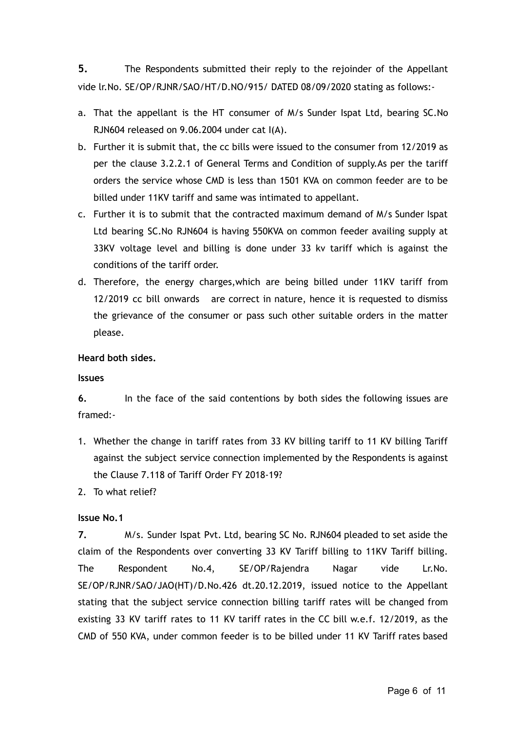**5.** The Respondents submitted their reply to the rejoinder of the Appellant vide lr.No. SE/OP/RJNR/SAO/HT/D.NO/915/ DATED 08/09/2020 stating as follows:-

- a. That the appellant is the HT consumer of M/s Sunder Ispat Ltd, bearing SC.No RJN604 released on 9.06.2004 under cat I(A).
- b. Further it is submit that, the cc bills were issued to the consumer from 12/2019 as per the clause 3.2.2.1 of General Terms and Condition of supply.As per the tariff orders the service whose CMD is less than 1501 KVA on common feeder are to be billed under 11KV tariff and same was intimated to appellant.
- c. Further it is to submit that the contracted maximum demand of M/s Sunder Ispat Ltd bearing SC.No RJN604 is having 550KVA on common feeder availing supply at 33KV voltage level and billing is done under 33 kv tariff which is against the conditions of the tariff order.
- d. Therefore, the energy charges,which are being billed under 11KV tariff from 12/2019 cc bill onwards are correct in nature, hence it is requested to dismiss the grievance of the consumer or pass such other suitable orders in the matter please.

## **Heard both sides.**

## **Issues**

**6.** In the face of the said contentions by both sides the following issues are framed:-

- 1. Whether the change in tariff rates from 33 KV billing tariff to 11 KV billing Tariff against the subject service connection implemented by the Respondents is against the Clause 7.118 of Tariff Order FY 2018-19?
- 2. To what relief?

# **Issue No.1**

**7.** M/s. Sunder Ispat Pvt. Ltd, bearing SC No. RJN604 pleaded to set aside the claim of the Respondents over converting 33 KV Tariff billing to 11KV Tariff billing. The Respondent No.4, SE/OP/Rajendra Nagar vide Lr.No. SE/OP/RJNR/SAO/JAO(HT)/D.No.426 dt.20.12.2019, issued notice to the Appellant stating that the subject service connection billing tariff rates will be changed from existing 33 KV tariff rates to 11 KV tariff rates in the CC bill w.e.f. 12/2019, as the CMD of 550 KVA, under common feeder is to be billed under 11 KV Tariff rates based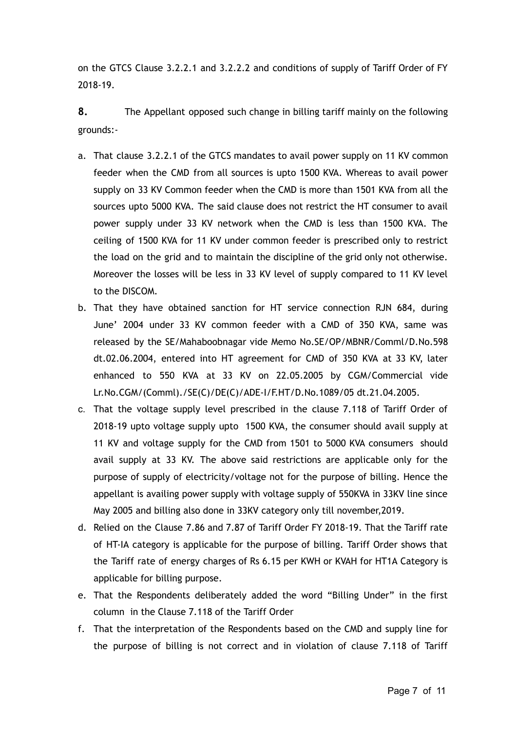on the GTCS Clause 3.2.2.1 and 3.2.2.2 and conditions of supply of Tariff Order of FY 2018-19.

**8.** The Appellant opposed such change in billing tariff mainly on the following grounds:-

- a. That clause 3.2.2.1 of the GTCS mandates to avail power supply on 11 KV common feeder when the CMD from all sources is upto 1500 KVA. Whereas to avail power supply on 33 KV Common feeder when the CMD is more than 1501 KVA from all the sources upto 5000 KVA. The said clause does not restrict the HT consumer to avail power supply under 33 KV network when the CMD is less than 1500 KVA. The ceiling of 1500 KVA for 11 KV under common feeder is prescribed only to restrict the load on the grid and to maintain the discipline of the grid only not otherwise. Moreover the losses will be less in 33 KV level of supply compared to 11 KV level to the DISCOM.
- b. That they have obtained sanction for HT service connection RJN 684, during June' 2004 under 33 KV common feeder with a CMD of 350 KVA, same was released by the SE/Mahaboobnagar vide Memo No.SE/OP/MBNR/Comml/D.No.598 dt.02.06.2004, entered into HT agreement for CMD of 350 KVA at 33 KV, later enhanced to 550 KVA at 33 KV on 22.05.2005 by CGM/Commercial vide Lr.No.CGM/(Comml)./SE(C)/DE(C)/ADE-I/F.HT/D.No.1089/05 dt.21.04.2005.
- c. That the voltage supply level prescribed in the clause 7.118 of Tariff Order of 2018-19 upto voltage supply upto 1500 KVA, the consumer should avail supply at 11 KV and voltage supply for the CMD from 1501 to 5000 KVA consumers should avail supply at 33 KV. The above said restrictions are applicable only for the purpose of supply of electricity/voltage not for the purpose of billing. Hence the appellant is availing power supply with voltage supply of 550KVA in 33KV line since May 2005 and billing also done in 33KV category only till november,2019.
- d. Relied on the Clause 7.86 and 7.87 of Tariff Order FY 2018-19. That the Tariff rate of HT-IA category is applicable for the purpose of billing. Tariff Order shows that the Tariff rate of energy charges of Rs 6.15 per KWH or KVAH for HT1A Category is applicable for billing purpose.
- e. That the Respondents deliberately added the word "Billing Under" in the first column in the Clause 7.118 of the Tariff Order
- f. That the interpretation of the Respondents based on the CMD and supply line for the purpose of billing is not correct and in violation of clause 7.118 of Tariff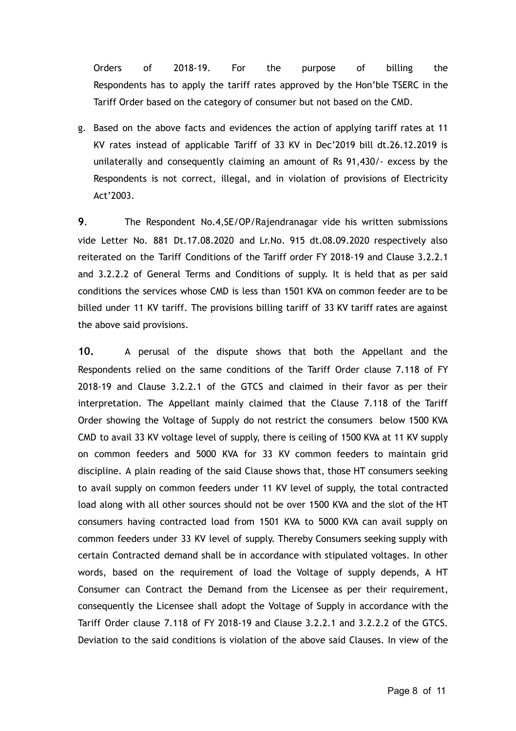Orders of 2018-19. For the purpose of billing the Respondents has to apply the tariff rates approved by the Hon'ble TSERC in the Tariff Order based on the category of consumer but not based on the CMD.

g. Based on the above facts and evidences the action of applying tariff rates at 11 KV rates instead of applicable Tariff of 33 KV in Dec'2019 bill dt.26.12.2019 is unilaterally and consequently claiming an amount of Rs 91,430/- excess by the Respondents is not correct, illegal, and in violation of provisions of Electricity Act'2003.

**9.** The Respondent No.4,SE/OP/Rajendranagar vide his written submissions vide Letter No. 881 Dt.17.08.2020 and Lr.No. 915 dt.08.09.2020 respectively also reiterated on the Tariff Conditions of the Tariff order FY 2018-19 and Clause 3.2.2.1 and 3.2.2.2 of General Terms and Conditions of supply. It is held that as per said conditions the services whose CMD is less than 1501 KVA on common feeder are to be billed under 11 KV tariff. The provisions billing tariff of 33 KV tariff rates are against the above said provisions.

**10.** A perusal of the dispute shows that both the Appellant and the Respondents relied on the same conditions of the Tariff Order clause 7.118 of FY 2018-19 and Clause 3.2.2.1 of the GTCS and claimed in their favor as per their interpretation. The Appellant mainly claimed that the Clause 7.118 of the Tariff Order showing the Voltage of Supply do not restrict the consumers below 1500 KVA CMD to avail 33 KV voltage level of supply, there is ceiling of 1500 KVA at 11 KV supply on common feeders and 5000 KVA for 33 KV common feeders to maintain grid discipline. A plain reading of the said Clause shows that, those HT consumers seeking to avail supply on common feeders under 11 KV level of supply, the total contracted load along with all other sources should not be over 1500 KVA and the slot of the HT consumers having contracted load from 1501 KVA to 5000 KVA can avail supply on common feeders under 33 KV level of supply. Thereby Consumers seeking supply with certain Contracted demand shall be in accordance with stipulated voltages. In other words, based on the requirement of load the Voltage of supply depends, A HT Consumer can Contract the Demand from the Licensee as per their requirement, consequently the Licensee shall adopt the Voltage of Supply in accordance with the Tariff Order clause 7.118 of FY 2018-19 and Clause 3.2.2.1 and 3.2.2.2 of the GTCS. Deviation to the said conditions is violation of the above said Clauses. In view of the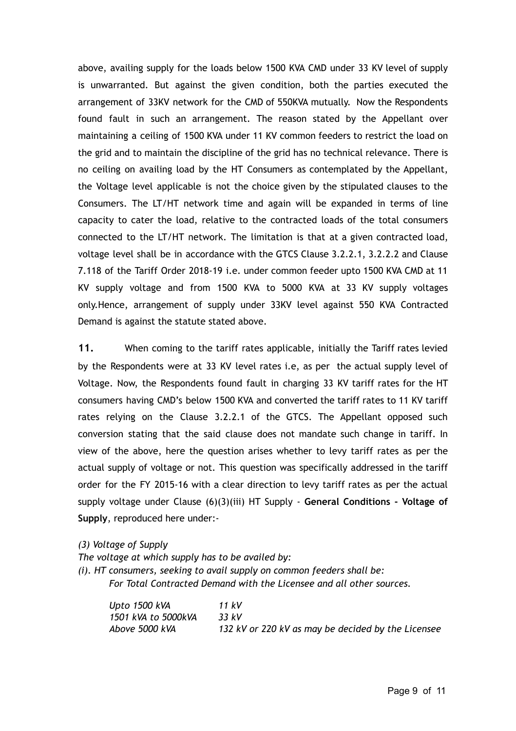above, availing supply for the loads below 1500 KVA CMD under 33 KV level of supply is unwarranted. But against the given condition, both the parties executed the arrangement of 33KV network for the CMD of 550KVA mutually. Now the Respondents found fault in such an arrangement. The reason stated by the Appellant over maintaining a ceiling of 1500 KVA under 11 KV common feeders to restrict the load on the grid and to maintain the discipline of the grid has no technical relevance. There is no ceiling on availing load by the HT Consumers as contemplated by the Appellant, the Voltage level applicable is not the choice given by the stipulated clauses to the Consumers. The LT/HT network time and again will be expanded in terms of line capacity to cater the load, relative to the contracted loads of the total consumers connected to the LT/HT network. The limitation is that at a given contracted load, voltage level shall be in accordance with the GTCS Clause 3.2.2.1, 3.2.2.2 and Clause 7.118 of the Tariff Order 2018-19 i.e. under common feeder upto 1500 KVA CMD at 11 KV supply voltage and from 1500 KVA to 5000 KVA at 33 KV supply voltages only.Hence, arrangement of supply under 33KV level against 550 KVA Contracted Demand is against the statute stated above.

**11.** When coming to the tariff rates applicable, initially the Tariff rates levied by the Respondents were at 33 KV level rates i.e, as per the actual supply level of Voltage. Now, the Respondents found fault in charging 33 KV tariff rates for the HT consumers having CMD's below 1500 KVA and converted the tariff rates to 11 KV tariff rates relying on the Clause 3.2.2.1 of the GTCS. The Appellant opposed such conversion stating that the said clause does not mandate such change in tariff. In view of the above, here the question arises whether to levy tariff rates as per the actual supply of voltage or not. This question was specifically addressed in the tariff order for the FY 2015-16 with a clear direction to levy tariff rates as per the actual supply voltage under Clause (6)(3)(iii) HT Supply - **General Conditions - Voltage of Supply**, reproduced here under:-

*(3) Voltage of Supply*

*The voltage at which supply has to be availed by:*

*(i). HT consumers, seeking to avail supply on common feeders shall be: For Total Contracted Demand with the Licensee and all other sources.*

| Upto 1500 kVA       | 11 kV                                              |
|---------------------|----------------------------------------------------|
| 1501 kVA to 5000kVA | 33 kV                                              |
| Above 5000 kVA      | 132 kV or 220 kV as may be decided by the Licensee |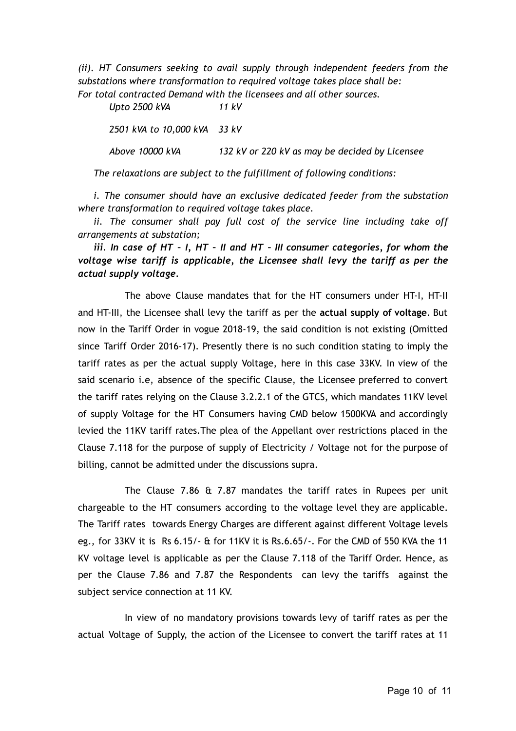*(ii). HT Consumers seeking to avail supply through independent feeders from the substations where transformation to required voltage takes place shall be: For total contracted Demand with the licensees and all other sources.*

*Upto 2500 kVA 11 kV*

*2501 kVA to 10,000 kVA 33 kV Above 10000 kVA 132 kV or 220 kV as may be decided by Licensee* 

*The relaxations are subject to the fulfillment of following conditions:*

*i. The consumer should have an exclusive dedicated feeder from the substation where transformation to required voltage takes place.*

*ii. The consumer shall pay full cost of the service line including take off arrangements at substation;*

*iii. In case of HT – I, HT – II and HT – III consumer categories, for whom the voltage wise tariff is applicable, the Licensee shall levy the tariff as per the actual supply voltage.*

The above Clause mandates that for the HT consumers under HT-I, HT-II and HT-III, the Licensee shall levy the tariff as per the **actual supply of voltage**. But now in the Tariff Order in vogue 2018-19, the said condition is not existing (Omitted since Tariff Order 2016-17). Presently there is no such condition stating to imply the tariff rates as per the actual supply Voltage, here in this case 33KV. In view of the said scenario i.e, absence of the specific Clause, the Licensee preferred to convert the tariff rates relying on the Clause 3.2.2.1 of the GTCS, which mandates 11KV level of supply Voltage for the HT Consumers having CMD below 1500KVA and accordingly levied the 11KV tariff rates.The plea of the Appellant over restrictions placed in the Clause 7.118 for the purpose of supply of Electricity / Voltage not for the purpose of billing, cannot be admitted under the discussions supra.

The Clause 7.86 & 7.87 mandates the tariff rates in Rupees per unit chargeable to the HT consumers according to the voltage level they are applicable. The Tariff rates towards Energy Charges are different against different Voltage levels eg., for 33KV it is Rs 6.15/- & for 11KV it is Rs.6.65/-. For the CMD of 550 KVA the 11 KV voltage level is applicable as per the Clause 7.118 of the Tariff Order. Hence, as per the Clause 7.86 and 7.87 the Respondents can levy the tariffs against the subject service connection at 11 KV.

In view of no mandatory provisions towards levy of tariff rates as per the actual Voltage of Supply, the action of the Licensee to convert the tariff rates at 11